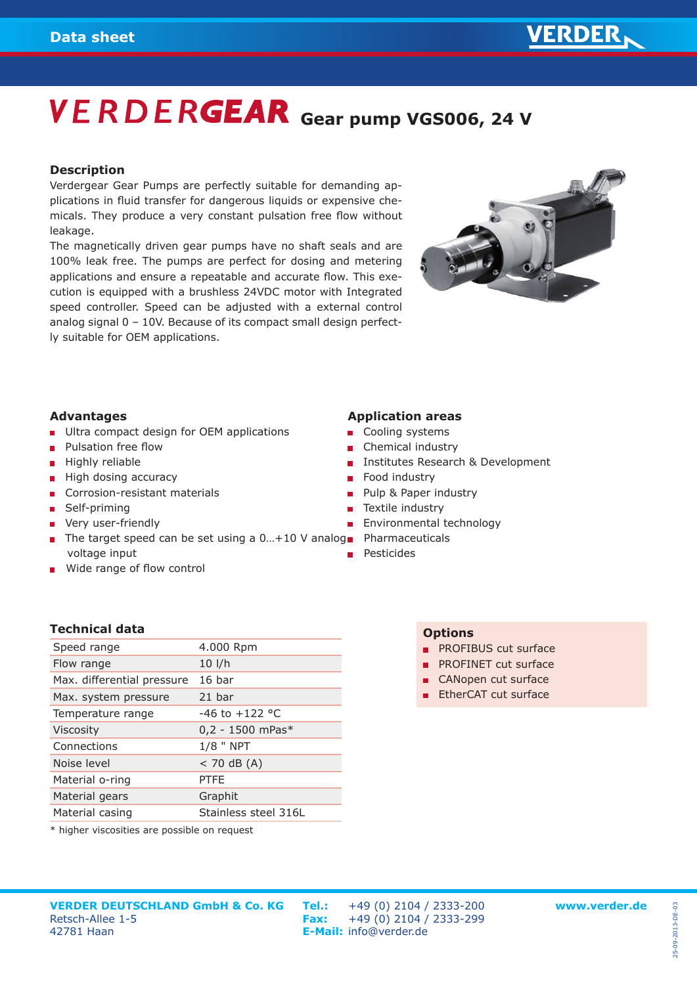# **VERDERGEAR** Gear pump VGS006, 24 V

#### **Description**

Verdergear Gear Pumps are perfectly suitable for demanding applications in fluid transfer for dangerous liquids or expensive chemicals. They produce a very constant pulsation free flow without leakage.

The magnetically driven gear pumps have no shaft seals and are 100% leak free. The pumps are perfect for dosing and metering applications and ensure a repeatable and accurate flow. This execution is equipped with a brushless 24VDC motor with Integrated speed controller. Speed can be adjusted with a external control analog signal 0 – 10V. Because of its compact small design perfectly suitable for OEM applications.



### **Advantages**

- **Ultra compact design for OEM applications**
- Pulsation free flow  $\blacksquare$
- Highly reliable
- High dosing accuracy
- Corrosion-resistant materials  $\blacksquare$
- Self-priming
- **very user-friendly**
- The target speed can be set using a 0...+10 V analog Pharmaceuticals voltage input
- **Wide range of flow control**

#### **Application areas**

- Cooling systems
- Chemical industry
- Institutes Research & Development
- $\mathbf{r}$ Food industry
- Pulp & Paper industry  $\blacksquare$
- Textile industry
- Environmental technology  $\mathbf{m}$  .
- 
- Pesticides

### **Technical data**

| Speed range                | 4.000 Rpm            |
|----------------------------|----------------------|
| Flow range                 | $10 \frac{\pi}{h}$   |
| Max. differential pressure | 16 <sub>bar</sub>    |
| Max. system pressure       | 21 bar               |
| Temperature range          | $-46$ to $+122$ °C   |
| <b>Viscosity</b>           | $0,2 - 1500$ mPas*   |
| Connections                | $1/8$ " NPT          |
| Noise level                | $<$ 70 dB (A)        |
| Material o-ring            | <b>PTFF</b>          |
| Material gears             | Graphit              |
| Material casing            | Stainless steel 316L |
|                            |                      |

\* higher viscosities are possible on request

## **Options**

- **PROFIBUS cut surface**
- **PROFINET cut surface**
- CANopen cut surface
- **EtherCAT cut surface**